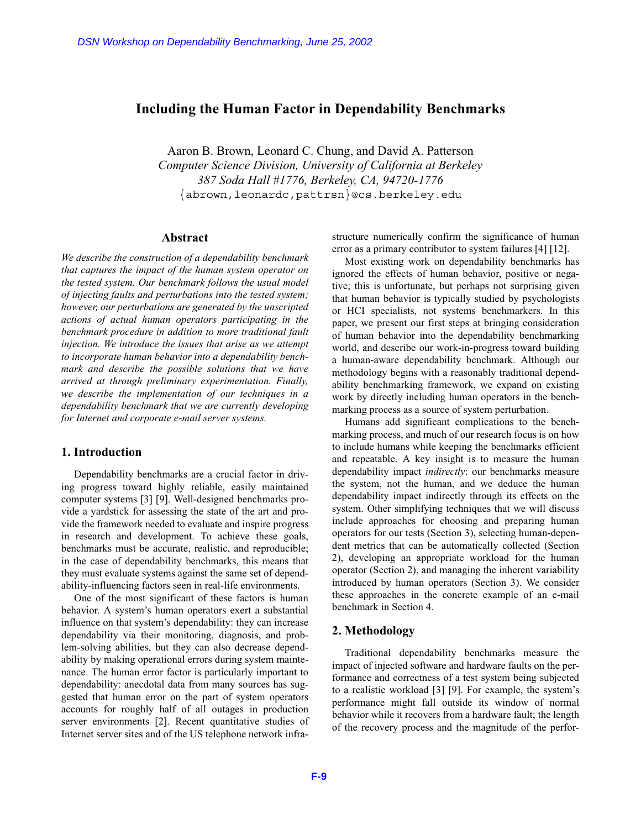# **Including the Human Factor in Dependability Benchmarks**

Aaron B. Brown, Leonard C. Chung, and David A. Patterson *Computer Science Division, University of California at Berkeley 387 Soda Hall #1776, Berkeley, CA, 94720-1776* {abrown,leonardc,pattrsn}@cs.berkeley.edu

### **Abstract**

*We describe the construction of a dependability benchmark that captures the impact of the human system operator on the tested system. Our benchmark follows the usual model of injecting faults and perturbations into the tested system; however, our perturbations are generated by the unscripted actions of actual human operators participating in the benchmark procedure in addition to more traditional fault injection. We introduce the issues that arise as we attempt to incorporate human behavior into a dependability benchmark and describe the possible solutions that we have arrived at through preliminary experimentation. Finally, we describe the implementation of our techniques in a dependability benchmark that we are currently developing for Internet and corporate e-mail server systems.* DSN Workshop on Dependability Benchmarking, June 25, 2002<br> **F-10 F-10 F-10 F-10 F-10 F-10 F-10 F-10 F-10 F-10 F-10 F-10 F-10 F-10 F-10 F-10 F-10 And** <br> **F-10 F-10 And F-10 And** 

### **1. Introduction**

Dependability benchmarks are a crucial factor in driving progress toward highly reliable, easily maintained computer systems [3] [9]. Well-designed benchmarks provide a yardstick for assessing the state of the art and provide the framework needed to evaluate and inspire progress in research and development. To achieve these goals, benchmarks must be accurate, realistic, and reproducible; in the case of dependability benchmarks, this means that they must evaluate systems against the same set of dependability-influencing factors seen in real-life environments.

One of the most significant of these factors is human behavior. A system's human operators exert a substantial influence on that system's dependability: they can increase dependability via their monitoring, diagnosis, and problem-solving abilities, but they can also decrease dependability by making operational errors during system maintenance. The human error factor is particularly important to dependability: anecdotal data from many sources has suggested that human error on the part of system operators accounts for roughly half of all outages in production server environments [2]. Recent quantitative studies of Internet server sites and of the US telephone network infrastructure numerically confirm the significance of human error as a primary contributor to system failures [4] [12].

Most existing work on dependability benchmarks has ignored the effects of human behavior, positive or negative; this is unfortunate, but perhaps not surprising given that human behavior is typically studied by psychologists or HCI specialists, not systems benchmarkers. In this paper, we present our first steps at bringing consideration of human behavior into the dependability benchmarking world, and describe our work-in-progress toward building a human-aware dependability benchmark. Although our methodology begins with a reasonably traditional dependability benchmarking framework, we expand on existing work by directly including human operators in the benchmarking process as a source of system perturbation.

Humans add significant complications to the benchmarking process, and much of our research focus is on how to include humans while keeping the benchmarks efficient and repeatable. A key insight is to measure the human dependability impact *indirectly*: our benchmarks measure the system, not the human, and we deduce the human dependability impact indirectly through its effects on the system. Other simplifying techniques that we will discuss include approaches for choosing and preparing human operators for our tests (Section 3), selecting human-dependent metrics that can be automatically collected (Section 2), developing an appropriate workload for the human operator (Section 2), and managing the inherent variability introduced by human operators (Section 3). We consider these approaches in the concrete example of an e-mail benchmark in Section 4.

#### **2. Methodology**

Traditional dependability benchmarks measure the impact of injected software and hardware faults on the performance and correctness of a test system being subjected to a realistic workload [3] [9]. For example, the system's performance might fall outside its window of normal behavior while it recovers from a hardware fault; the length of the recovery process and the magnitude of the perfor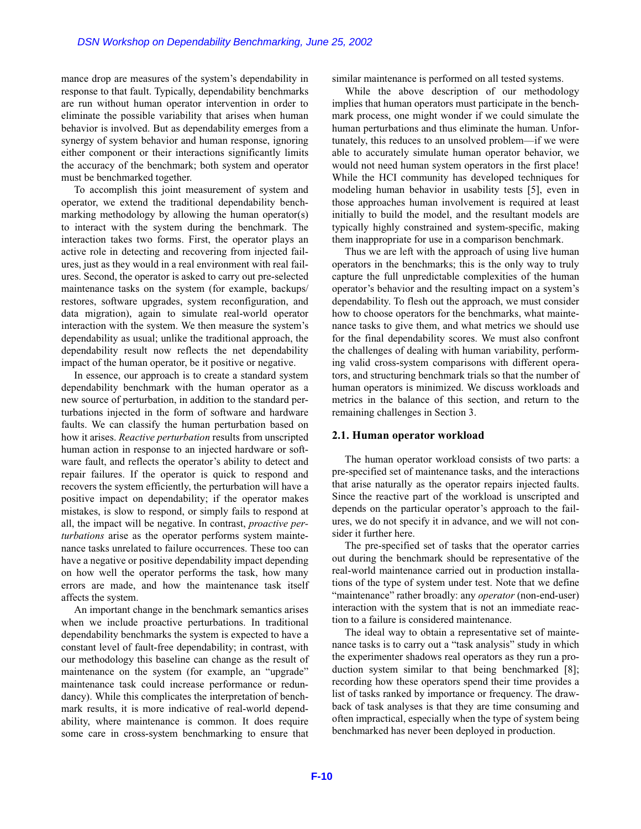mance drop are measures of the system's dependability in response to that fault. Typically, dependability benchmarks are run without human operator intervention in order to eliminate the possible variability that arises when human behavior is involved. But as dependability emerges from a synergy of system behavior and human response, ignoring either component or their interactions significantly limits the accuracy of the benchmark; both system and operator must be benchmarked together.

To accomplish this joint measurement of system and operator, we extend the traditional dependability benchmarking methodology by allowing the human operator(s) to interact with the system during the benchmark. The interaction takes two forms. First, the operator plays an active role in detecting and recovering from injected failures, just as they would in a real environment with real failures. Second, the operator is asked to carry out pre-selected maintenance tasks on the system (for example, backups/ restores, software upgrades, system reconfiguration, and data migration), again to simulate real-world operator interaction with the system. We then measure the system's dependability as usual; unlike the traditional approach, the dependability result now reflects the net dependability impact of the human operator, be it positive or negative.

In essence, our approach is to create a standard system dependability benchmark with the human operator as a new source of perturbation, in addition to the standard perturbations injected in the form of software and hardware faults. We can classify the human perturbation based on how it arises. *Reactive perturbation* results from unscripted human action in response to an injected hardware or software fault, and reflects the operator's ability to detect and repair failures. If the operator is quick to respond and recovers the system efficiently, the perturbation will have a positive impact on dependability; if the operator makes mistakes, is slow to respond, or simply fails to respond at all, the impact will be negative. In contrast, *proactive perturbations* arise as the operator performs system maintenance tasks unrelated to failure occurrences. These too can have a negative or positive dependability impact depending on how well the operator performs the task, how many errors are made, and how the maintenance task itself affects the system. DSN Workshop on Dependability Benchmarking, June 25, 2002<br>
ice drop are measures of the system's dependability in<br>
similar monst to that fault. Typically, dependability benchmarks<br>
nones to that fault. Typically, dependabi

An important change in the benchmark semantics arises when we include proactive perturbations. In traditional dependability benchmarks the system is expected to have a constant level of fault-free dependability; in contrast, with our methodology this baseline can change as the result of maintenance on the system (for example, an "upgrade" maintenance task could increase performance or redundancy). While this complicates the interpretation of benchmark results, it is more indicative of real-world dependability, where maintenance is common. It does require some care in cross-system benchmarking to ensure that similar maintenance is performed on all tested systems.

While the above description of our methodology implies that human operators must participate in the benchmark process, one might wonder if we could simulate the human perturbations and thus eliminate the human. Unfortunately, this reduces to an unsolved problem—if we were able to accurately simulate human operator behavior, we would not need human system operators in the first place! While the HCI community has developed techniques for modeling human behavior in usability tests [5], even in those approaches human involvement is required at least initially to build the model, and the resultant models are typically highly constrained and system-specific, making them inappropriate for use in a comparison benchmark.

Thus we are left with the approach of using live human operators in the benchmarks; this is the only way to truly capture the full unpredictable complexities of the human operator's behavior and the resulting impact on a system's dependability. To flesh out the approach, we must consider how to choose operators for the benchmarks, what maintenance tasks to give them, and what metrics we should use for the final dependability scores. We must also confront the challenges of dealing with human variability, performing valid cross-system comparisons with different operators, and structuring benchmark trials so that the number of human operators is minimized. We discuss workloads and metrics in the balance of this section, and return to the remaining challenges in Section 3.

#### **2.1. Human operator workload**

The human operator workload consists of two parts: a pre-specified set of maintenance tasks, and the interactions that arise naturally as the operator repairs injected faults. Since the reactive part of the workload is unscripted and depends on the particular operator's approach to the failures, we do not specify it in advance, and we will not consider it further here.

The pre-specified set of tasks that the operator carries out during the benchmark should be representative of the real-world maintenance carried out in production installations of the type of system under test. Note that we define "maintenance" rather broadly: any *operator* (non-end-user) interaction with the system that is not an immediate reaction to a failure is considered maintenance.

The ideal way to obtain a representative set of maintenance tasks is to carry out a "task analysis" study in which the experimenter shadows real operators as they run a production system similar to that being benchmarked [8]; recording how these operators spend their time provides a list of tasks ranked by importance or frequency. The drawback of task analyses is that they are time consuming and often impractical, especially when the type of system being benchmarked has never been deployed in production.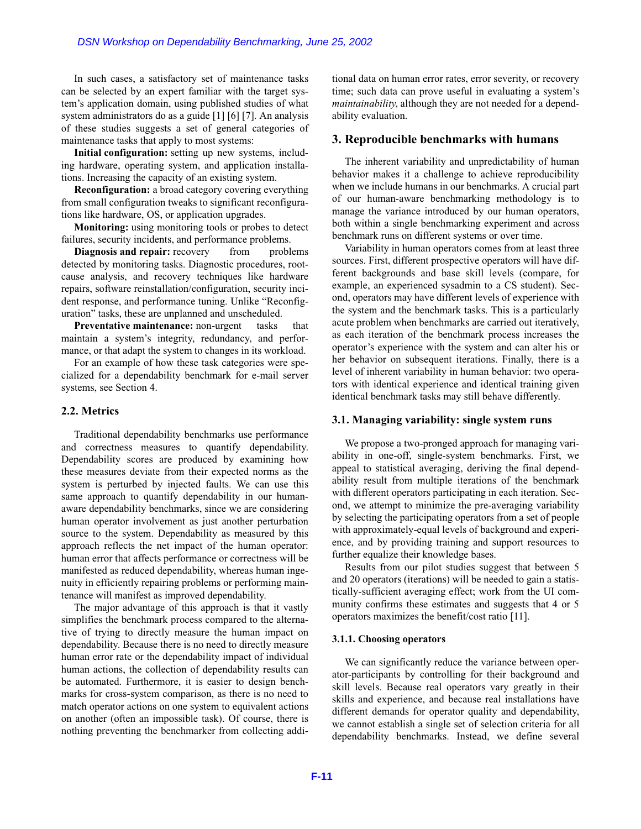In such cases, a satisfactory set of maintenance tasks can be selected by an expert familiar with the target system's application domain, using published studies of what system administrators do as a guide [1] [6] [7]. An analysis of these studies suggests a set of general categories of maintenance tasks that apply to most systems:

**Initial configuration:** setting up new systems, including hardware, operating system, and application installations. Increasing the capacity of an existing system.

**Reconfiguration:** a broad category covering everything from small configuration tweaks to significant reconfigurations like hardware, OS, or application upgrades.

**Monitoring:** using monitoring tools or probes to detect failures, security incidents, and performance problems.

**Diagnosis and repair:** recovery from problems detected by monitoring tasks. Diagnostic procedures, rootcause analysis, and recovery techniques like hardware repairs, software reinstallation/configuration, security incident response, and performance tuning. Unlike "Reconfiguration" tasks, these are unplanned and unscheduled.

**Preventative maintenance:** non-urgent tasks that maintain a system's integrity, redundancy, and performance, or that adapt the system to changes in its workload.

For an example of how these task categories were specialized for a dependability benchmark for e-mail server systems, see Section 4.

#### **2.2. Metrics**

Traditional dependability benchmarks use performance and correctness measures to quantify dependability. Dependability scores are produced by examining how these measures deviate from their expected norms as the system is perturbed by injected faults. We can use this same approach to quantify dependability in our humanaware dependability benchmarks, since we are considering human operator involvement as just another perturbation source to the system. Dependability as measured by this approach reflects the net impact of the human operator: human error that affects performance or correctness will be manifested as reduced dependability, whereas human ingenuity in efficiently repairing problems or performing maintenance will manifest as improved dependability. DSN Workshop on Dependability Benchmarking, June 25, 2002<br>
n such cases, a satisfactory set of minierance tasks<br>
is esclected by an expert familiar with the target sys-<br>
x application domain, using published studies of wha

The major advantage of this approach is that it vastly simplifies the benchmark process compared to the alternative of trying to directly measure the human impact on dependability. Because there is no need to directly measure human error rate or the dependability impact of individual human actions, the collection of dependability results can be automated. Furthermore, it is easier to design benchmarks for cross-system comparison, as there is no need to match operator actions on one system to equivalent actions on another (often an impossible task). Of course, there is nothing preventing the benchmarker from collecting addi-

tional data on human error rates, error severity, or recovery time; such data can prove useful in evaluating a system's *maintainability*, although they are not needed for a dependability evaluation.

# **3. Reproducible benchmarks with humans**

The inherent variability and unpredictability of human behavior makes it a challenge to achieve reproducibility when we include humans in our benchmarks. A crucial part of our human-aware benchmarking methodology is to manage the variance introduced by our human operators, both within a single benchmarking experiment and across benchmark runs on different systems or over time.

Variability in human operators comes from at least three sources. First, different prospective operators will have different backgrounds and base skill levels (compare, for example, an experienced sysadmin to a CS student). Second, operators may have different levels of experience with the system and the benchmark tasks. This is a particularly acute problem when benchmarks are carried out iteratively, as each iteration of the benchmark process increases the operator's experience with the system and can alter his or her behavior on subsequent iterations. Finally, there is a level of inherent variability in human behavior: two operators with identical experience and identical training given identical benchmark tasks may still behave differently.

#### **3.1. Managing variability: single system runs**

We propose a two-pronged approach for managing variability in one-off, single-system benchmarks. First, we appeal to statistical averaging, deriving the final dependability result from multiple iterations of the benchmark with different operators participating in each iteration. Second, we attempt to minimize the pre-averaging variability by selecting the participating operators from a set of people with approximately-equal levels of background and experience, and by providing training and support resources to further equalize their knowledge bases.

Results from our pilot studies suggest that between 5 and 20 operators (iterations) will be needed to gain a statistically-sufficient averaging effect; work from the UI community confirms these estimates and suggests that 4 or 5 operators maximizes the benefit/cost ratio [11].

#### **3.1.1. Choosing operators**

We can significantly reduce the variance between operator-participants by controlling for their background and skill levels. Because real operators vary greatly in their skills and experience, and because real installations have different demands for operator quality and dependability, we cannot establish a single set of selection criteria for all dependability benchmarks. Instead, we define several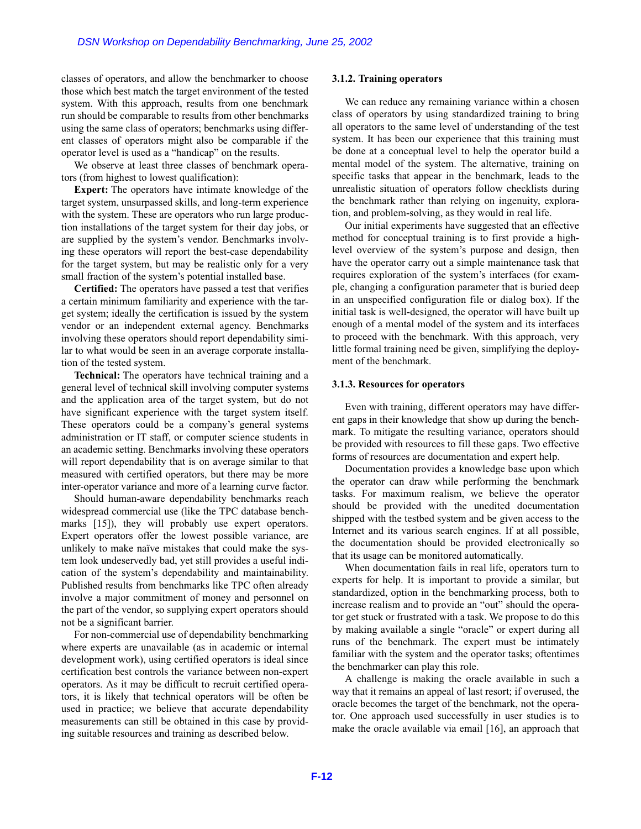classes of operators, and allow the benchmarker to choose those which best match the target environment of the tested system. With this approach, results from one benchmark run should be comparable to results from other benchmarks using the same class of operators; benchmarks using different classes of operators might also be comparable if the operator level is used as a "handicap" on the results.

We observe at least three classes of benchmark operators (from highest to lowest qualification):

**Expert:** The operators have intimate knowledge of the target system, unsurpassed skills, and long-term experience with the system. These are operators who run large production installations of the target system for their day jobs, or are supplied by the system's vendor. Benchmarks involving these operators will report the best-case dependability for the target system, but may be realistic only for a very small fraction of the system's potential installed base.

**Certified:** The operators have passed a test that verifies a certain minimum familiarity and experience with the target system; ideally the certification is issued by the system vendor or an independent external agency. Benchmarks involving these operators should report dependability similar to what would be seen in an average corporate installation of the tested system.

**Technical:** The operators have technical training and a general level of technical skill involving computer systems and the application area of the target system, but do not have significant experience with the target system itself. These operators could be a company's general systems administration or IT staff, or computer science students in an academic setting. Benchmarks involving these operators will report dependability that is on average similar to that measured with certified operators, but there may be more inter-operator variance and more of a learning curve factor.

Should human-aware dependability benchmarks reach widespread commercial use (like the TPC database benchmarks [15]), they will probably use expert operators. Expert operators offer the lowest possible variance, are unlikely to make naïve mistakes that could make the system look undeservedly bad, yet still provides a useful indication of the system's dependability and maintainability. Published results from benchmarks like TPC often already involve a major commitment of money and personnel on the part of the vendor, so supplying expert operators should not be a significant barrier. DSNN Workshop on Dependability Benchmarking, June 25, 2002<br>
ses of operators, and allow the henchmarker to choose<br>
ses of operators, and allow the henchmarker to choose<br>
ses of operators, the allow the henchmarker to choos

For non-commercial use of dependability benchmarking where experts are unavailable (as in academic or internal development work), using certified operators is ideal since certification best controls the variance between non-expert operators. As it may be difficult to recruit certified operators, it is likely that technical operators will be often be used in practice; we believe that accurate dependability measurements can still be obtained in this case by providing suitable resources and training as described below.

#### **3.1.2. Training operators**

We can reduce any remaining variance within a chosen class of operators by using standardized training to bring all operators to the same level of understanding of the test system. It has been our experience that this training must be done at a conceptual level to help the operator build a mental model of the system. The alternative, training on specific tasks that appear in the benchmark, leads to the unrealistic situation of operators follow checklists during the benchmark rather than relying on ingenuity, exploration, and problem-solving, as they would in real life.

Our initial experiments have suggested that an effective method for conceptual training is to first provide a highlevel overview of the system's purpose and design, then have the operator carry out a simple maintenance task that requires exploration of the system's interfaces (for example, changing a configuration parameter that is buried deep in an unspecified configuration file or dialog box). If the initial task is well-designed, the operator will have built up enough of a mental model of the system and its interfaces to proceed with the benchmark. With this approach, very little formal training need be given, simplifying the deployment of the benchmark.

#### **3.1.3. Resources for operators**

Even with training, different operators may have different gaps in their knowledge that show up during the benchmark. To mitigate the resulting variance, operators should be provided with resources to fill these gaps. Two effective forms of resources are documentation and expert help.

Documentation provides a knowledge base upon which the operator can draw while performing the benchmark tasks. For maximum realism, we believe the operator should be provided with the unedited documentation shipped with the testbed system and be given access to the Internet and its various search engines. If at all possible, the documentation should be provided electronically so that its usage can be monitored automatically.

When documentation fails in real life, operators turn to experts for help. It is important to provide a similar, but standardized, option in the benchmarking process, both to increase realism and to provide an "out" should the operator get stuck or frustrated with a task. We propose to do this by making available a single "oracle" or expert during all runs of the benchmark. The expert must be intimately familiar with the system and the operator tasks; oftentimes the benchmarker can play this role.

A challenge is making the oracle available in such a way that it remains an appeal of last resort; if overused, the oracle becomes the target of the benchmark, not the operator. One approach used successfully in user studies is to make the oracle available via email [16], an approach that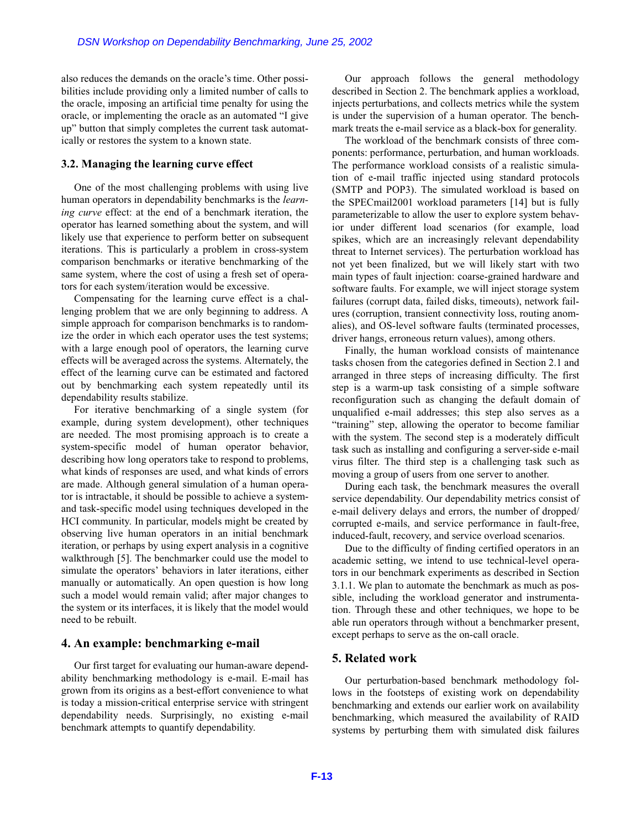also reduces the demands on the oracle's time. Other possibilities include providing only a limited number of calls to the oracle, imposing an artificial time penalty for using the oracle, or implementing the oracle as an automated "I give up" button that simply completes the current task automatically or restores the system to a known state.

#### **3.2. Managing the learning curve effect**

One of the most challenging problems with using live human operators in dependability benchmarks is the *learning curve* effect: at the end of a benchmark iteration, the operator has learned something about the system, and will likely use that experience to perform better on subsequent iterations. This is particularly a problem in cross-system comparison benchmarks or iterative benchmarking of the same system, where the cost of using a fresh set of operators for each system/iteration would be excessive.

Compensating for the learning curve effect is a challenging problem that we are only beginning to address. A simple approach for comparison benchmarks is to randomize the order in which each operator uses the test systems; with a large enough pool of operators, the learning curve effects will be averaged across the systems. Alternately, the effect of the learning curve can be estimated and factored out by benchmarking each system repeatedly until its dependability results stabilize.

For iterative benchmarking of a single system (for example, during system development), other techniques are needed. The most promising approach is to create a system-specific model of human operator behavior, describing how long operators take to respond to problems, what kinds of responses are used, and what kinds of errors are made. Although general simulation of a human operator is intractable, it should be possible to achieve a systemand task-specific model using techniques developed in the HCI community. In particular, models might be created by observing live human operators in an initial benchmark iteration, or perhaps by using expert analysis in a cognitive walkthrough [5]. The benchmarker could use the model to simulate the operators' behaviors in later iterations, either manually or automatically. An open question is how long such a model would remain valid; after major changes to the system or its interfaces, it is likely that the model would need to be rebuilt. DSN Workshop on Dependability Benchmarking, June 25, 2002<br>
reduces the demands on the oracle's time. Other possi-<br>
is complemented to the most extracted to the state of the state of the<br>state providing only a limit the mul

# **4. An example: benchmarking e-mail**

Our first target for evaluating our human-aware dependability benchmarking methodology is e-mail. E-mail has grown from its origins as a best-effort convenience to what is today a mission-critical enterprise service with stringent dependability needs. Surprisingly, no existing e-mail benchmark attempts to quantify dependability.

Our approach follows the general methodology described in Section 2. The benchmark applies a workload, injects perturbations, and collects metrics while the system is under the supervision of a human operator. The benchmark treats the e-mail service as a black-box for generality.

The workload of the benchmark consists of three components: performance, perturbation, and human workloads. The performance workload consists of a realistic simulation of e-mail traffic injected using standard protocols (SMTP and POP3). The simulated workload is based on the SPECmail2001 workload parameters [14] but is fully parameterizable to allow the user to explore system behavior under different load scenarios (for example, load spikes, which are an increasingly relevant dependability threat to Internet services). The perturbation workload has not yet been finalized, but we will likely start with two main types of fault injection: coarse-grained hardware and software faults. For example, we will inject storage system failures (corrupt data, failed disks, timeouts), network failures (corruption, transient connectivity loss, routing anomalies), and OS-level software faults (terminated processes, driver hangs, erroneous return values), among others.

Finally, the human workload consists of maintenance tasks chosen from the categories defined in Section 2.1 and arranged in three steps of increasing difficulty. The first step is a warm-up task consisting of a simple software reconfiguration such as changing the default domain of unqualified e-mail addresses; this step also serves as a "training" step, allowing the operator to become familiar with the system. The second step is a moderately difficult task such as installing and configuring a server-side e-mail virus filter. The third step is a challenging task such as moving a group of users from one server to another.

During each task, the benchmark measures the overall service dependability. Our dependability metrics consist of e-mail delivery delays and errors, the number of dropped/ corrupted e-mails, and service performance in fault-free, induced-fault, recovery, and service overload scenarios.

Due to the difficulty of finding certified operators in an academic setting, we intend to use technical-level operators in our benchmark experiments as described in Section 3.1.1. We plan to automate the benchmark as much as possible, including the workload generator and instrumentation. Through these and other techniques, we hope to be able run operators through without a benchmarker present, except perhaps to serve as the on-call oracle.

# **5. Related work**

Our perturbation-based benchmark methodology follows in the footsteps of existing work on dependability benchmarking and extends our earlier work on availability benchmarking, which measured the availability of RAID systems by perturbing them with simulated disk failures